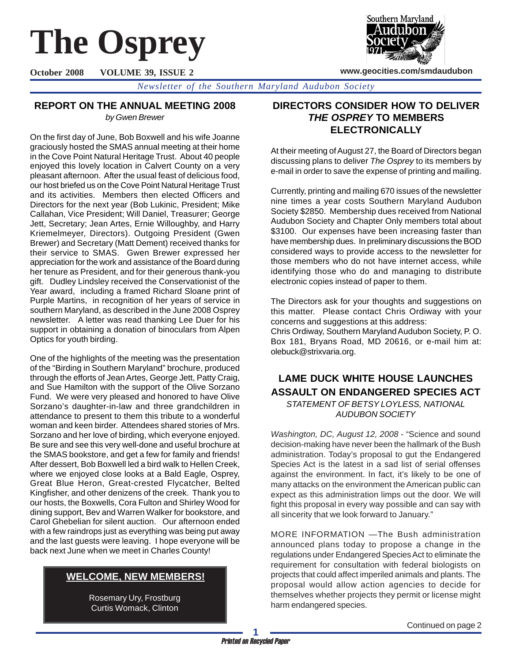# **The Osprey**

**October 2008 VOLUME 39, ISSUE 2**



**www.geocities.com/smdaudubon**

*Newsletter of the Southern Maryland Audubon Society*

## **REPORT ON THE ANNUAL MEETING 2008**

*by Gwen Brewer*

On the first day of June, Bob Boxwell and his wife Joanne graciously hosted the SMAS annual meeting at their home in the Cove Point Natural Heritage Trust. About 40 people enjoyed this lovely location in Calvert County on a very pleasant afternoon. After the usual feast of delicious food, our host briefed us on the Cove Point Natural Heritage Trust and its activities. Members then elected Officers and Directors for the next year (Bob Lukinic, President; Mike Callahan, Vice President; Will Daniel, Treasurer; George Jett, Secretary; Jean Artes, Ernie Willoughby, and Harry Kriemelmeyer, Directors). Outgoing President (Gwen Brewer) and Secretary (Matt Dement) received thanks for their service to SMAS. Gwen Brewer expressed her appreciation for the work and assistance of the Board during her tenure as President, and for their generous thank-you gift. Dudley Lindsley received the Conservationist of the Year award, including a framed Richard Sloane print of Purple Martins, in recognition of her years of service in southern Maryland, as described in the June 2008 Osprey newsletter. A letter was read thanking Lee Duer for his support in obtaining a donation of binoculars from Alpen Optics for youth birding.

One of the highlights of the meeting was the presentation of the "Birding in Southern Maryland" brochure, produced through the efforts of Jean Artes, George Jett, Patty Craig, and Sue Hamilton with the support of the Olive Sorzano Fund. We were very pleased and honored to have Olive Sorzano's daughter-in-law and three grandchildren in attendance to present to them this tribute to a wonderful woman and keen birder. Attendees shared stories of Mrs. Sorzano and her love of birding, which everyone enjoyed. Be sure and see this very well-done and useful brochure at the SMAS bookstore, and get a few for family and friends! After dessert, Bob Boxwell led a bird walk to Hellen Creek, where we enjoyed close looks at a Bald Eagle, Osprey, Great Blue Heron, Great-crested Flycatcher, Belted Kingfisher, and other denizens of the creek. Thank you to our hosts, the Boxwells, Cora Fulton and Shirley Wood for dining support, Bev and Warren Walker for bookstore, and Carol Ghebelian for silent auction. Our afternoon ended with a few raindrops just as everything was being put away and the last guests were leaving. I hope everyone will be back next June when we meet in Charles County!

# **WELCOME, NEW MEMBERS!**

Rosemary Ury, Frostburg Curtis Womack, Clinton

# **DIRECTORS CONSIDER HOW TO DELIVER** *THE OSPREY* **TO MEMBERS ELECTRONICALLY**

At their meeting of August 27, the Board of Directors began discussing plans to deliver *The Osprey* to its members by e-mail in order to save the expense of printing and mailing.

Currently, printing and mailing 670 issues of the newsletter nine times a year costs Southern Maryland Audubon Society \$2850. Membership dues received from National Audubon Society and Chapter Only members total about \$3100. Our expenses have been increasing faster than have membership dues. In preliminary discussions the BOD considered ways to provide access to the newsletter for those members who do not have internet access, while identifying those who do and managing to distribute electronic copies instead of paper to them.

The Directors ask for your thoughts and suggestions on this matter. Please contact Chris Ordiway with your concerns and suggestions at this address:

Chris Ordiway, Southern Maryland Audubon Society, P. O. Box 181, Bryans Road, MD 20616, or e-mail him at: olebuck@strixvaria.org.

## **LAME DUCK WHITE HOUSE LAUNCHES ASSAULT ON ENDANGERED SPECIES ACT** *STATEMENT OF BETSY LOYLESS, NATIONAL AUDUBON SOCIETY*

*Washington, DC, August 12, 2008* - "Science and sound decision-making have never been the hallmark of the Bush administration. Today's proposal to gut the Endangered Species Act is the latest in a sad list of serial offenses against the environment. In fact, it's likely to be one of many attacks on the environment the American public can expect as this administration limps out the door. We will fight this proposal in every way possible and can say with all sincerity that we look forward to January."

MORE INFORMATION —The Bush administration announced plans today to propose a change in the regulations under Endangered Species Act to eliminate the requirement for consultation with federal biologists on projects that could affect imperiled animals and plants. The proposal would allow action agencies to decide for themselves whether projects they permit or license might harm endangered species.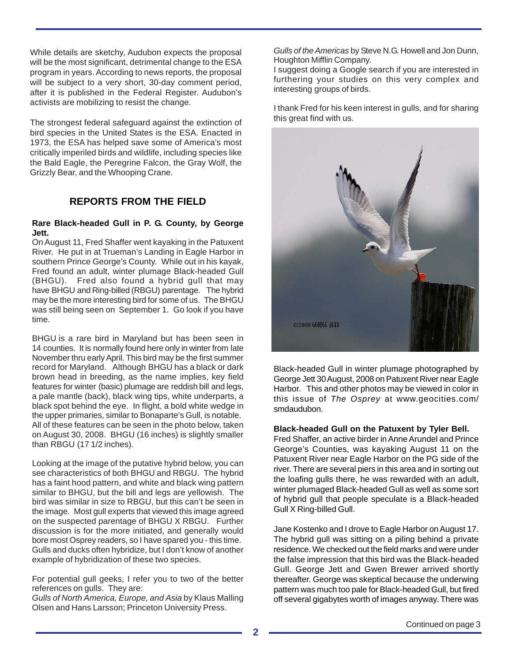While details are sketchy, Audubon expects the proposal will be the most significant, detrimental change to the ESA program in years. According to news reports, the proposal will be subject to a very short, 30-day comment period, after it is published in the Federal Register. Audubon's activists are mobilizing to resist the change.

The strongest federal safeguard against the extinction of bird species in the United States is the ESA. Enacted in 1973, the ESA has helped save some of America's most critically imperiled birds and wildlife, including species like the Bald Eagle, the Peregrine Falcon, the Gray Wolf, the Grizzly Bear, and the Whooping Crane.

## **REPORTS FROM THE FIELD**

#### **Rare Black-headed Gull in P. G. County, by George Jett.**

On August 11, Fred Shaffer went kayaking in the Patuxent River. He put in at Trueman's Landing in Eagle Harbor in southern Prince George's County. While out in his kayak, Fred found an adult, winter plumage Black-headed Gull (BHGU). Fred also found a hybrid gull that may have BHGU and Ring-billed (RBGU) parentage. The hybrid may be the more interesting bird for some of us. The BHGU was still being seen on September 1. Go look if you have time.

BHGU is a rare bird in Maryland but has been seen in 14 counties. It is normally found here only in winter from late November thru early April. This bird may be the first summer record for Maryland. Although BHGU has a black or dark brown head in breeding, as the name implies, key field features for winter (basic) plumage are reddish bill and legs, a pale mantle (back), black wing tips, white underparts, a black spot behind the eye. In flight, a bold white wedge in the upper primaries, similar to Bonaparte's Gull, is notable. All of these features can be seen in the photo below, taken on August 30, 2008. BHGU (16 inches) is slightly smaller than RBGU (17 1/2 inches).

Looking at the image of the putative hybrid below, you can see characteristics of both BHGU and RBGU. The hybrid has a faint hood pattern, and white and black wing pattern similar to BHGU, but the bill and legs are yellowish. The bird was similar in size to RBGU, but this can't be seen in the image. Most gull experts that viewed this image agreed on the suspected parentage of BHGU X RBGU. Further discussion is for the more initiated, and generally would bore most Osprey readers, so I have spared you - this time. Gulls and ducks often hybridize, but I don't know of another example of hybridization of these two species.

For potential gull geeks, I refer you to two of the better references on gulls. They are:

*Gulls of North America, Europe, and Asia* by Klaus Malling Olsen and Hans Larsson; Princeton University Press.

*Gulls of the Americas* by Steve N.G. Howell and Jon Dunn, Houghton Mifflin Company.

I suggest doing a Google search if you are interested in furthering your studies on this very complex and interesting groups of birds.

I thank Fred for his keen interest in gulls, and for sharing this great find with us.



Black-headed Gull in winter plumage photographed by George Jett 30 August, 2008 on Patuxent River near Eagle Harbor. This and other photos may be viewed in color in this issue of *The Osprey* at www.geocities.com/ smdaudubon.

#### **Black-headed Gull on the Patuxent by Tyler Bell.**

Fred Shaffer, an active birder in Anne Arundel and Prince George's Counties, was kayaking August 11 on the Patuxent River near Eagle Harbor on the PG side of the river. There are several piers in this area and in sorting out the loafing gulls there, he was rewarded with an adult, winter plumaged Black-headed Gull as well as some sort of hybrid gull that people speculate is a Black-headed Gull X Ring-billed Gull.

Jane Kostenko and I drove to Eagle Harbor on August 17. The hybrid gull was sitting on a piling behind a private residence. We checked out the field marks and were under the false impression that this bird was the Black-headed Gull. George Jett and Gwen Brewer arrived shortly thereafter. George was skeptical because the underwing pattern was much too pale for Black-headed Gull, but fired off several gigabytes worth of images anyway. There was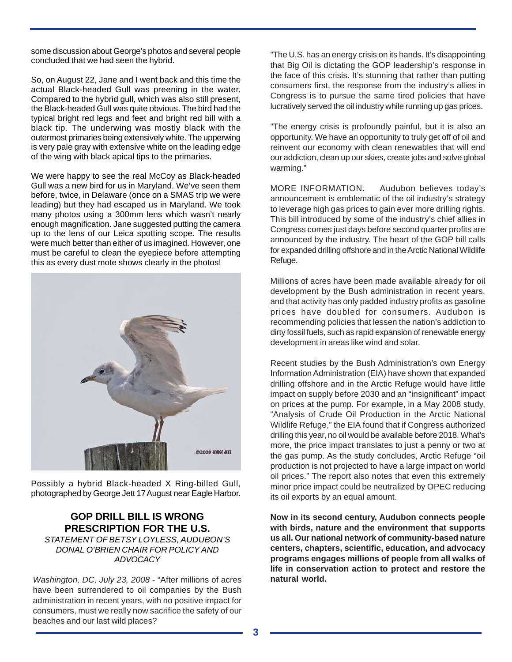some discussion about George's photos and several people concluded that we had seen the hybrid.

So, on August 22, Jane and I went back and this time the actual Black-headed Gull was preening in the water. Compared to the hybrid gull, which was also still present, the Black-headed Gull was quite obvious. The bird had the typical bright red legs and feet and bright red bill with a black tip. The underwing was mostly black with the outermost primaries being extensively white. The upperwing is very pale gray with extensive white on the leading edge of the wing with black apical tips to the primaries.

We were happy to see the real McCoy as Black-headed Gull was a new bird for us in Maryland. We've seen them before, twice, in Delaware (once on a SMAS trip we were leading) but they had escaped us in Maryland. We took many photos using a 300mm lens which wasn't nearly enough magnification. Jane suggested putting the camera up to the lens of our Leica spotting scope. The results were much better than either of us imagined. However, one must be careful to clean the eyepiece before attempting this as every dust mote shows clearly in the photos!



Possibly a hybrid Black-headed X Ring-billed Gull, photographed by George Jett 17 August near Eagle Harbor.

# **GOP DRILL BILL IS WRONG PRESCRIPTION FOR THE U.S.**

*STATEMENT OF BETSY LOYLESS, AUDUBON'S DONAL O'BRIEN CHAIR FOR POLICY AND ADVOCACY*

*Washington, DC, July 23, 2008* - "After millions of acres have been surrendered to oil companies by the Bush administration in recent years, with no positive impact for consumers, must we really now sacrifice the safety of our beaches and our last wild places?

"The U.S. has an energy crisis on its hands. It's disappointing that Big Oil is dictating the GOP leadership's response in the face of this crisis. It's stunning that rather than putting consumers first, the response from the industry's allies in Congress is to pursue the same tired policies that have lucratively served the oil industry while running up gas prices.

"The energy crisis is profoundly painful, but it is also an opportunity. We have an opportunity to truly get off of oil and reinvent our economy with clean renewables that will end our addiction, clean up our skies, create jobs and solve global warming."

MORE INFORMATION. Audubon believes today's announcement is emblematic of the oil industry's strategy to leverage high gas prices to gain ever more drilling rights. This bill introduced by some of the industry's chief allies in Congress comes just days before second quarter profits are announced by the industry. The heart of the GOP bill calls for expanded drilling offshore and in the Arctic National Wildlife Refuge.

Millions of acres have been made available already for oil development by the Bush administration in recent years, and that activity has only padded industry profits as gasoline prices have doubled for consumers. Audubon is recommending policies that lessen the nation's addiction to dirty fossil fuels, such as rapid expansion of renewable energy development in areas like wind and solar.

Recent studies by the Bush Administration's own Energy Information Administration (EIA) have shown that expanded drilling offshore and in the Arctic Refuge would have little impact on supply before 2030 and an "insignificant" impact on prices at the pump. For example, in a May 2008 study, "Analysis of Crude Oil Production in the Arctic National Wildlife Refuge," the EIA found that if Congress authorized drilling this year, no oil would be available before 2018. What's more, the price impact translates to just a penny or two at the gas pump. As the study concludes, Arctic Refuge "oil production is not projected to have a large impact on world oil prices." The report also notes that even this extremely minor price impact could be neutralized by OPEC reducing its oil exports by an equal amount.

**Now in its second century, Audubon connects people with birds, nature and the environment that supports us all. Our national network of community-based nature centers, chapters, scientific, education, and advocacy programs engages millions of people from all walks of life in conservation action to protect and restore the natural world.**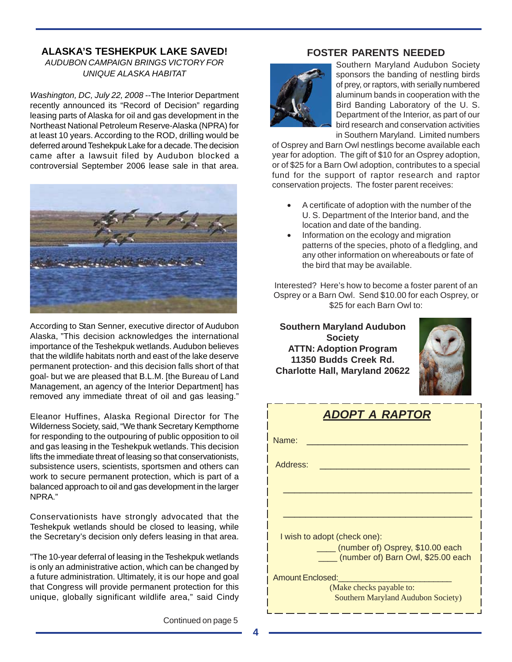# **ALASKA'S TESHEKPUK LAKE SAVED!**

## *AUDUBON CAMPAIGN BRINGS VICTORY FOR UNIQUE ALASKA HABITAT*

*Washington, DC, July 22, 2008* --The Interior Department recently announced its "Record of Decision" regarding leasing parts of Alaska for oil and gas development in the Northeast National Petroleum Reserve-Alaska (NPRA) for at least 10 years. According to the ROD, drilling would be deferred around Teshekpuk Lake for a decade. The decision came after a lawsuit filed by Audubon blocked a controversial September 2006 lease sale in that area.



According to Stan Senner, executive director of Audubon Alaska, "This decision acknowledges the international importance of the Teshekpuk wetlands. Audubon believes that the wildlife habitats north and east of the lake deserve permanent protection- and this decision falls short of that goal- but we are pleased that B.L.M. [the Bureau of Land Management, an agency of the Interior Department] has removed any immediate threat of oil and gas leasing."

Eleanor Huffines, Alaska Regional Director for The Wilderness Society, said, "We thank Secretary Kempthorne for responding to the outpouring of public opposition to oil and gas leasing in the Teshekpuk wetlands. This decision lifts the immediate threat of leasing so that conservationists, subsistence users, scientists, sportsmen and others can work to secure permanent protection, which is part of a balanced approach to oil and gas development in the larger NPRA."

Conservationists have strongly advocated that the Teshekpuk wetlands should be closed to leasing, while the Secretary's decision only defers leasing in that area.

"The 10-year deferral of leasing in the Teshekpuk wetlands is only an administrative action, which can be changed by a future administration. Ultimately, it is our hope and goal that Congress will provide permanent protection for this unique, globally significant wildlife area," said Cindy

Continued on page 5

## **FOSTER PARENTS NEEDED**



Southern Maryland Audubon Society sponsors the banding of nestling birds of prey, or raptors, with serially numbered aluminum bands in cooperation with the Bird Banding Laboratory of the U. S. Department of the Interior, as part of our bird research and conservation activities in Southern Maryland. Limited numbers

of Osprey and Barn Owl nestlings become available each year for adoption. The gift of \$10 for an Osprey adoption, or of \$25 for a Barn Owl adoption, contributes to a special fund for the support of raptor research and raptor conservation projects. The foster parent receives:

- A certificate of adoption with the number of the U. S. Department of the Interior band, and the location and date of the banding.
- Information on the ecology and migration patterns of the species, photo of a fledgling, and any other information on whereabouts or fate of the bird that may be available.

Interested? Here's how to become a foster parent of an Osprey or a Barn Owl. Send \$10.00 for each Osprey, or \$25 for each Barn Owl to:

**Southern Maryland Audubon Society ATTN: Adoption Program 11350 Budds Creek Rd. Charlotte Hall, Maryland 20622**



<u> De la Carlo de la Carlo de la Carlo de la C</u>

| ADOPT A RAPTOR                                                         |  |  |  |  |  |  |
|------------------------------------------------------------------------|--|--|--|--|--|--|
| Name:                                                                  |  |  |  |  |  |  |
| Address:                                                               |  |  |  |  |  |  |
|                                                                        |  |  |  |  |  |  |
|                                                                        |  |  |  |  |  |  |
| I wish to adopt (check one):                                           |  |  |  |  |  |  |
| (number of) Osprey, \$10.00 each<br>(number of) Barn Owl, \$25.00 each |  |  |  |  |  |  |
| Amount Enclosed:                                                       |  |  |  |  |  |  |
| (Make checks payable to:<br><b>Southern Maryland Audubon Society)</b>  |  |  |  |  |  |  |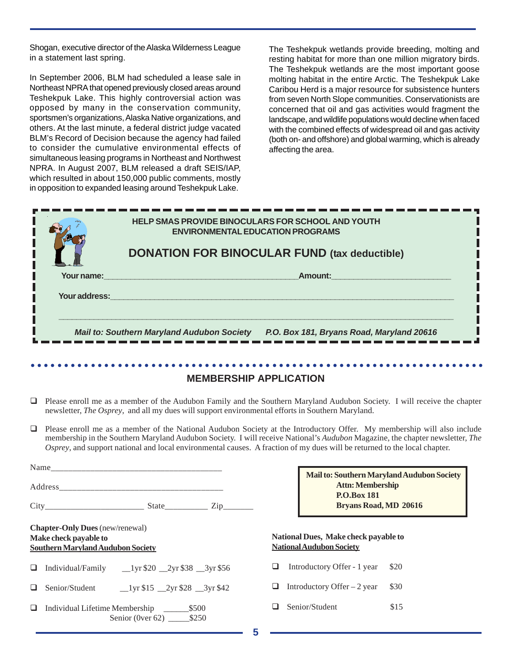Shogan, executive director of the Alaska Wilderness League in a statement last spring.

In September 2006, BLM had scheduled a lease sale in Northeast NPRA that opened previously closed areas around Teshekpuk Lake. This highly controversial action was opposed by many in the conservation community, sportsmen's organizations, Alaska Native organizations, and others. At the last minute, a federal district judge vacated BLM's Record of Decision because the agency had failed to consider the cumulative environmental effects of simultaneous leasing programs in Northeast and Northwest NPRA. In August 2007, BLM released a draft SEIS/IAP, which resulted in about 150,000 public comments, mostly in opposition to expanded leasing around Teshekpuk Lake.

The Teshekpuk wetlands provide breeding, molting and resting habitat for more than one million migratory birds. The Teshekpuk wetlands are the most important goose molting habitat in the entire Arctic. The Teshekpuk Lake Caribou Herd is a major resource for subsistence hunters from seven North Slope communities. Conservationists are concerned that oil and gas activities would fragment the landscape, and wildlife populations would decline when faced with the combined effects of widespread oil and gas activity (both on- and offshore) and global warming, which is already affecting the area.

|               | <b>HELP SMAS PROVIDE BINOCULARS FOR SCHOOL AND YOUTH</b><br><b>ENVIRONMENTAL EDUCATION PROGRAMS</b> |  |  |  |
|---------------|-----------------------------------------------------------------------------------------------------|--|--|--|
|               | <b>DONATION FOR BINOCULAR FUND (tax deductible)</b>                                                 |  |  |  |
| Your name:    | Amount:                                                                                             |  |  |  |
| Your address: |                                                                                                     |  |  |  |
|               | <b>Mail to: Southern Maryland Audubon Society</b><br>P.O. Box 181, Bryans Road, Maryland 20616      |  |  |  |

#### ○○○○○○○○○○○○○○○○○○○○○○○○○○○○○○○○○○○○○○○○○○○○ ○○○○○○○○○○○○○○○○○○○○○○○○ **MEMBERSHIP APPLICATION**

- Please enroll me as a member of the Audubon Family and the Southern Maryland Audubon Society. I will receive the chapter newsletter, *The Osprey*, and all my dues will support environmental efforts in Southern Maryland.
- Please enroll me as a member of the National Audubon Society at the Introductory Offer. My membership will also include membership in the Southern Maryland Audubon Society. I will receive National's *Audubon* Magazine, the chapter newsletter, *The Osprey*, and support national and local environmental causes. A fraction of my dues will be returned to the local chapter.

**5**

|   |                                                                                                             |                                                                         | Mail to: Southern Maryland Audubon Society<br><b>Attn: Membership</b><br><b>P.O.Box 181</b><br><b>Bryans Road, MD 20616</b> |      |
|---|-------------------------------------------------------------------------------------------------------------|-------------------------------------------------------------------------|-----------------------------------------------------------------------------------------------------------------------------|------|
|   | <b>Chapter-Only Dues</b> (new/renewal)<br>Make check payable to<br><b>Southern Maryland Audubon Society</b> | National Dues, Make check payable to<br><b>National Audubon Society</b> |                                                                                                                             |      |
| ⊔ | Individual/Family $_{20}$ $_{2yr}$ \$20 $_{2yr}$ \$38 $_{3yr}$ \$56                                         |                                                                         | Introductory Offer - 1 year                                                                                                 | \$20 |
| ப | Senior/Student 1yr \$15 2yr \$28 3yr \$42                                                                   | ப                                                                       | Introductory Offer $-2$ year                                                                                                | \$30 |
| ❏ | Senior (0ver 62) $$250$                                                                                     |                                                                         | Senior/Student                                                                                                              | \$15 |